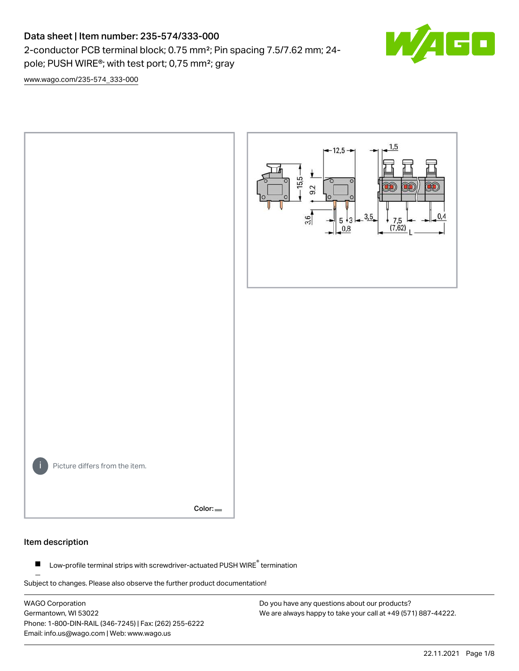# Data sheet | Item number: 235-574/333-000

2-conductor PCB terminal block; 0.75 mm²; Pin spacing 7.5/7.62 mm; 24 pole; PUSH WIRE®; with test port; 0,75 mm²; gray



[www.wago.com/235-574\\_333-000](http://www.wago.com/235-574_333-000)



#### Item description

Low-profile terminal strips with screwdriver-actuated PUSH WIRE® termination  $\blacksquare$ 

Subject to changes. Please also observe the further product documentation!

WAGO Corporation Germantown, WI 53022 Phone: 1-800-DIN-RAIL (346-7245) | Fax: (262) 255-6222 Email: info.us@wago.com | Web: www.wago.us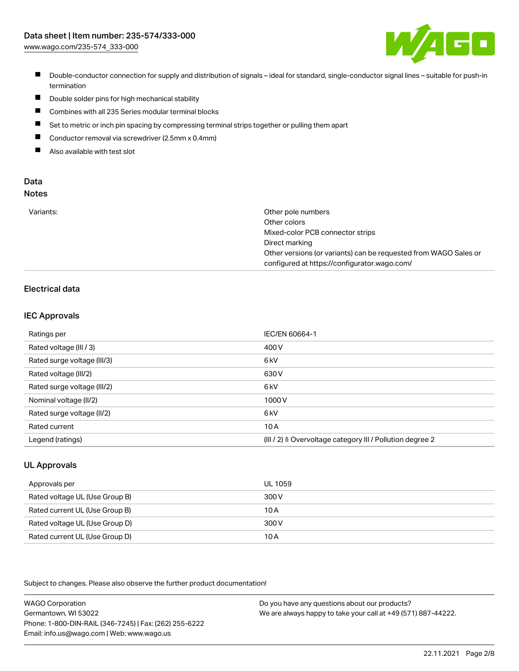

- Double-conductor connection for supply and distribution of signals ideal for standard, single-conductor signal lines suitable for push-in termination
- $\blacksquare$ Double solder pins for high mechanical stability
- $\blacksquare$ Combines with all 235 Series modular terminal blocks
- $\blacksquare$ Set to metric or inch pin spacing by compressing terminal strips together or pulling them apart
- $\blacksquare$ Conductor removal via screwdriver (2.5mm x 0.4mm)
- $\blacksquare$ Also available with test slot

#### Data Notes

| w<br>۰, | ×<br>v<br>×<br>۰.<br>۹<br>٠ |  |
|---------|-----------------------------|--|
|         |                             |  |

| Variants: | Other pole numbers                                               |
|-----------|------------------------------------------------------------------|
|           | Other colors                                                     |
|           | Mixed-color PCB connector strips                                 |
|           | Direct marking                                                   |
|           | Other versions (or variants) can be requested from WAGO Sales or |
|           | configured at https://configurator.wago.com/                     |

# Electrical data

## IEC Approvals

| Ratings per                 | IEC/EN 60664-1                                                        |
|-----------------------------|-----------------------------------------------------------------------|
| Rated voltage (III / 3)     | 400 V                                                                 |
| Rated surge voltage (III/3) | 6 <sub>k</sub> V                                                      |
| Rated voltage (III/2)       | 630 V                                                                 |
| Rated surge voltage (III/2) | 6 <sub>k</sub> V                                                      |
| Nominal voltage (II/2)      | 1000 V                                                                |
| Rated surge voltage (II/2)  | 6 kV                                                                  |
| Rated current               | 10A                                                                   |
| Legend (ratings)            | $(III / 2)$ $\triangle$ Overvoltage category III / Pollution degree 2 |

# UL Approvals

| Approvals per                  | UL 1059 |
|--------------------------------|---------|
| Rated voltage UL (Use Group B) | 300 V   |
| Rated current UL (Use Group B) | 10 A    |
| Rated voltage UL (Use Group D) | 300 V   |
| Rated current UL (Use Group D) | 10 A    |

Subject to changes. Please also observe the further product documentation!

| <b>WAGO Corporation</b>                                | Do you have any questions about our products?                 |
|--------------------------------------------------------|---------------------------------------------------------------|
| Germantown, WI 53022                                   | We are always happy to take your call at +49 (571) 887-44222. |
| Phone: 1-800-DIN-RAIL (346-7245)   Fax: (262) 255-6222 |                                                               |
| Email: info.us@wago.com   Web: www.wago.us             |                                                               |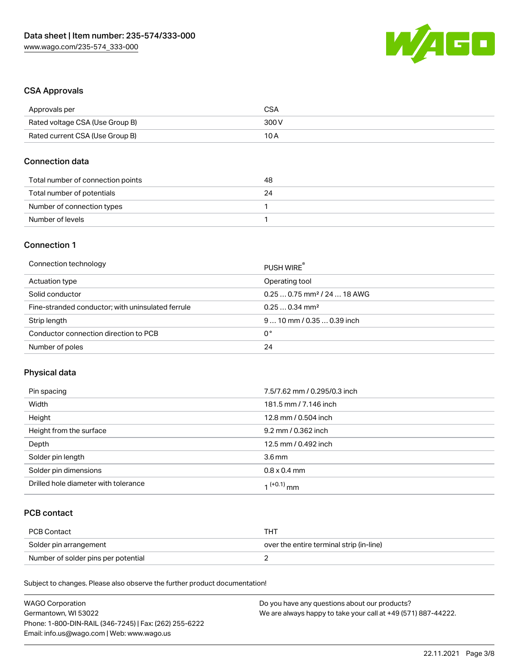

# CSA Approvals

| Approvals per                   | <b>CSA</b> |
|---------------------------------|------------|
| Rated voltage CSA (Use Group B) | 300 V      |
| Rated current CSA (Use Group B) | 10 A       |

## Connection data

| Total number of connection points | 48 |
|-----------------------------------|----|
| Total number of potentials        | 24 |
| Number of connection types        |    |
| Number of levels                  |    |

# Connection 1

| Connection technology                             | PUSH WIRE                               |
|---------------------------------------------------|-----------------------------------------|
| Actuation type                                    | Operating tool                          |
| Solid conductor                                   | $0.250.75$ mm <sup>2</sup> / 24  18 AWG |
| Fine-stranded conductor; with uninsulated ferrule | $0.250.34$ mm <sup>2</sup>              |
| Strip length                                      | $910$ mm $/0.350.39$ inch               |
| Conductor connection direction to PCB             | 0°                                      |
| Number of poles                                   | 24                                      |

#### Physical data

| Pin spacing                          | 7.5/7.62 mm / 0.295/0.3 inch |
|--------------------------------------|------------------------------|
| Width                                | 181.5 mm / 7.146 inch        |
| Height                               | 12.8 mm / 0.504 inch         |
| Height from the surface              | 9.2 mm / 0.362 inch          |
| Depth                                | 12.5 mm / 0.492 inch         |
| Solder pin length                    | 3.6 <sub>mm</sub>            |
| Solder pin dimensions                | $0.8 \times 0.4$ mm          |
| Drilled hole diameter with tolerance | $(1+0.1)$ mm                 |

# PCB contact

| PCB Contact                         | TH .                                     |
|-------------------------------------|------------------------------------------|
| Solder pin arrangement              | over the entire terminal strip (in-line) |
| Number of solder pins per potential |                                          |

Subject to changes. Please also observe the further product documentation!

| <b>WAGO Corporation</b>                                | Do you have any questions about our products?                 |
|--------------------------------------------------------|---------------------------------------------------------------|
| Germantown, WI 53022                                   | We are always happy to take your call at +49 (571) 887-44222. |
| Phone: 1-800-DIN-RAIL (346-7245)   Fax: (262) 255-6222 |                                                               |
| Email: info.us@wago.com   Web: www.wago.us             |                                                               |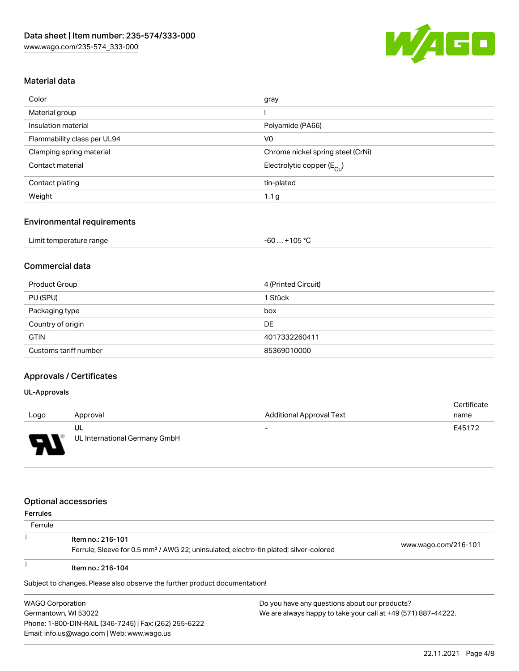

# Material data

| Color                       | gray                                    |
|-----------------------------|-----------------------------------------|
| Material group              |                                         |
| Insulation material         | Polyamide (PA66)                        |
| Flammability class per UL94 | V <sub>0</sub>                          |
| Clamping spring material    | Chrome nickel spring steel (CrNi)       |
| Contact material            | Electrolytic copper ( $E_{\text{Cu}}$ ) |
| Contact plating             | tin-plated                              |
| Weight                      | 1.1 <sub>g</sub>                        |

#### Environmental requirements

| Limit temperature range | $-60+105 °C$ |
|-------------------------|--------------|

# Commercial data

| Product Group         | 4 (Printed Circuit) |
|-----------------------|---------------------|
| PU (SPU)              | 1 Stück             |
| Packaging type        | box                 |
| Country of origin     | DE                  |
| <b>GTIN</b>           | 4017332260411       |
| Customs tariff number | 85369010000         |

# Approvals / Certificates

#### UL-Approvals

| Logo                   | Approval                            | <b>Additional Approval Text</b> | Certificate<br>name |
|------------------------|-------------------------------------|---------------------------------|---------------------|
| s<br>◡<br>$\mathbf{r}$ | UL<br>UL International Germany GmbH | $\overline{\phantom{0}}$        | E45172              |

#### Optional accessories

Phone: 1-800-DIN-RAIL (346-7245) | Fax: (262) 255-6222

Email: info.us@wago.com | Web: www.wago.us

| <b>Ferrules</b>                                                                       |                                                                                                   |  |                                               |  |
|---------------------------------------------------------------------------------------|---------------------------------------------------------------------------------------------------|--|-----------------------------------------------|--|
| Ferrule                                                                               |                                                                                                   |  |                                               |  |
|                                                                                       | Item no.: 216-101                                                                                 |  |                                               |  |
|                                                                                       | Ferrule; Sleeve for 0.5 mm <sup>2</sup> / AWG 22; uninsulated; electro-tin plated; silver-colored |  | www.wago.com/216-101                          |  |
|                                                                                       | Item no.: 216-104                                                                                 |  |                                               |  |
|                                                                                       | Subject to changes. Please also observe the further product documentation!                        |  |                                               |  |
| <b>WAGO Corporation</b>                                                               |                                                                                                   |  | Do you have any questions about our products? |  |
| We are always happy to take your call at +49 (571) 887-44222.<br>Germantown, WI 53022 |                                                                                                   |  |                                               |  |

22.11.2021 Page 4/8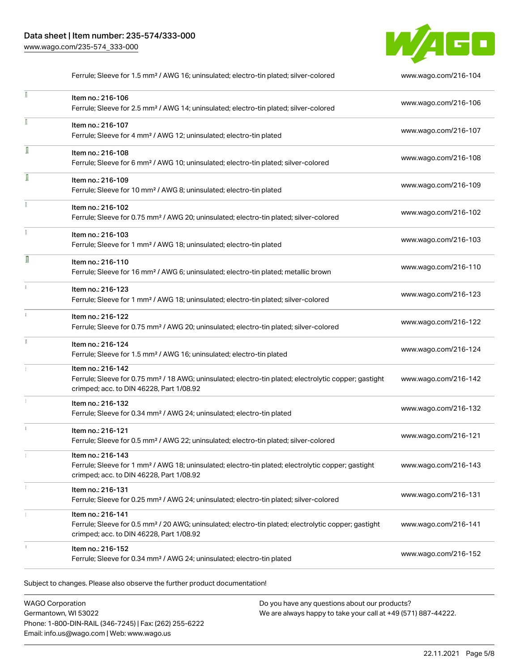I

Î

î

n

 $\mathbf{i}$ 



Ferrule; Sleeve for 1.5 mm² / AWG 16; uninsulated; electro-tin plated; silver-colored [www.wago.com/216-104](http://www.wago.com/216-104) Item no.: 216-106 Ferrule; Sleeve for 2.5 mm² / AWG 14; uninsulated; electro-tin plated; silver-colored [www.wago.com/216-106](http://www.wago.com/216-106) Item no.: 216-107 Ferrule; Sleeve for 4 mm² / AWG 12; uninsulated; electro-tin plated [www.wago.com/216-107](http://www.wago.com/216-107) Item no.: 216-108 Ferrule; Sleeve for 6 mm² / AWG 10; uninsulated; electro-tin plated; silver-colored [www.wago.com/216-108](http://www.wago.com/216-108) Item no.: 216-109 Ferrule; Sleeve for 10 mm² / AWG 8; uninsulated; electro-tin plated [www.wago.com/216-109](http://www.wago.com/216-109) Item no.: 216-102 Ferrule; Sleeve for 0.75 mm² / AWG 20; uninsulated; electro-tin plated; silver-colored [www.wago.com/216-102](http://www.wago.com/216-102) Item no.: 216-103 Ferrule; Sleeve for 1 mm² / AWG 18; uninsulated; electro-tin plated [www.wago.com/216-103](http://www.wago.com/216-103) Item no.: 216-110 Ferrule; Sleeve for 16 mm² / AWG 6; uninsulated; electro-tin plated; metallic brown [www.wago.com/216-110](http://www.wago.com/216-110) Item no.: 216-123 Ferrule; Sleeve for 1 mm² / AWG 18; uninsulated; electro-tin plated; silver-colored [www.wago.com/216-123](http://www.wago.com/216-123) Item no.: 216-122 Ferrule; Sleeve for 0.75 mm² / AWG 20; uninsulated; electro-tin plated; silver-colored [www.wago.com/216-122](http://www.wago.com/216-122)

# Ĭ Item no.: 216-124 Ferrule; Sleeve for 1.5 mm<sup>2</sup> / AWG 16; uninsulated; electro-tin plated [www.wago.com/216-124](http://www.wago.com/216-124) Item no.: 216-142 Ferrule; Sleeve for 0.75 mm<sup>2</sup> / 18 AWG; uninsulated; electro-tin plated; electrolytic copper; gastight [www.wago.com/216-142](http://www.wago.com/216-142) crimped; acc. to DIN 46228, Part 1/08.92 Item no.: 216-132 Ferrule; Sleeve for 0.34 mm² / AWG 24; uninsulated; electro-tin plated [www.wago.com/216-132](http://www.wago.com/216-132) Item no.: 216-121 Ferrule; Sleeve for 0.5 mm² / AWG 22; uninsulated; electro-tin plated; silver-colored [www.wago.com/216-121](http://www.wago.com/216-121) Item no.: 216-143

Ferrule; Sleeve for 1 mm² / AWG 18; uninsulated; electro-tin plated; electrolytic copper; gastight crimped; acc. to DIN 46228, Part 1/08.92 [www.wago.com/216-143](http://www.wago.com/216-143) Item no.: 216-131 Ferrule; Sleeve for 0.25 mm² / AWG 24; uninsulated; electro-tin plated; silver-colored [www.wago.com/216-131](http://www.wago.com/216-131) Item no.: 216-141 Ferrule; Sleeve for 0.5 mm² / 20 AWG; uninsulated; electro-tin plated; electrolytic copper; gastight crimped; acc. to DIN 46228, Part 1/08.92 [www.wago.com/216-141](http://www.wago.com/216-141) Item no.: 216-152 Ferrule; Sleeve for 0.34 mm² / AWG 24; uninsulated; electro-tin plated [www.wago.com/216-152](http://www.wago.com/216-152)

Subject to changes. Please also observe the further product documentation!

WAGO Corporation Germantown, WI 53022 Phone: 1-800-DIN-RAIL (346-7245) | Fax: (262) 255-6222 Email: info.us@wago.com | Web: www.wago.us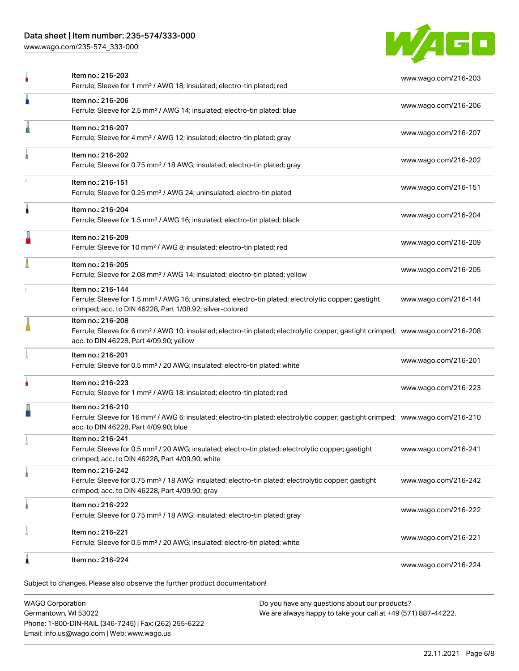# Data sheet | Item number: 235-574/333-000

[www.wago.com/235-574\\_333-000](http://www.wago.com/235-574_333-000)



|   | Item no.: 216-203<br>Ferrule; Sleeve for 1 mm <sup>2</sup> / AWG 18; insulated; electro-tin plated; red                                                                                                    | www.wago.com/216-203 |
|---|------------------------------------------------------------------------------------------------------------------------------------------------------------------------------------------------------------|----------------------|
| I | Item no.: 216-206<br>Ferrule; Sleeve for 2.5 mm <sup>2</sup> / AWG 14; insulated; electro-tin plated; blue                                                                                                 | www.wago.com/216-206 |
|   | Item no.: 216-207<br>Ferrule; Sleeve for 4 mm <sup>2</sup> / AWG 12; insulated; electro-tin plated; gray                                                                                                   | www.wago.com/216-207 |
|   | Item no.: 216-202<br>Ferrule; Sleeve for 0.75 mm <sup>2</sup> / 18 AWG; insulated; electro-tin plated; gray                                                                                                | www.wago.com/216-202 |
|   | Item no.: 216-151<br>Ferrule; Sleeve for 0.25 mm <sup>2</sup> / AWG 24; uninsulated; electro-tin plated                                                                                                    | www.wago.com/216-151 |
| 1 | Item no.: 216-204<br>Ferrule; Sleeve for 1.5 mm <sup>2</sup> / AWG 16; insulated; electro-tin plated; black                                                                                                | www.wago.com/216-204 |
|   | Item no.: 216-209<br>Ferrule; Sleeve for 10 mm <sup>2</sup> / AWG 8; insulated; electro-tin plated; red                                                                                                    | www.wago.com/216-209 |
|   | Item no.: 216-205<br>Ferrule; Sleeve for 2.08 mm <sup>2</sup> / AWG 14; insulated; electro-tin plated; yellow                                                                                              | www.wago.com/216-205 |
|   | Item no.: 216-144<br>Ferrule; Sleeve for 1.5 mm <sup>2</sup> / AWG 16; uninsulated; electro-tin plated; electrolytic copper; gastight<br>crimped; acc. to DIN 46228, Part 1/08.92; silver-colored          | www.wago.com/216-144 |
|   | Item no.: 216-208<br>Ferrule; Sleeve for 6 mm <sup>2</sup> / AWG 10; insulated; electro-tin plated; electrolytic copper; gastight crimped; www.wago.com/216-208<br>acc. to DIN 46228, Part 4/09.90; yellow |                      |
|   | Item no.: 216-201<br>Ferrule; Sleeve for 0.5 mm <sup>2</sup> / 20 AWG; insulated; electro-tin plated; white                                                                                                | www.wago.com/216-201 |
|   | Item no.: 216-223<br>Ferrule; Sleeve for 1 mm <sup>2</sup> / AWG 18; insulated; electro-tin plated; red                                                                                                    | www.wago.com/216-223 |
|   | Item no.: 216-210<br>Ferrule; Sleeve for 16 mm <sup>2</sup> / AWG 6; insulated; electro-tin plated; electrolytic copper; gastight crimped; www.wago.com/216-210<br>acc. to DIN 46228, Part 4/09.90; blue   |                      |
|   | Item no.: 216-241<br>Ferrule; Sleeve for 0.5 mm <sup>2</sup> / 20 AWG; insulated; electro-tin plated; electrolytic copper; gastight<br>crimped; acc. to DIN 46228, Part 4/09.90; white                     | www.wago.com/216-241 |
|   | Item no.: 216-242<br>Ferrule; Sleeve for 0.75 mm <sup>2</sup> / 18 AWG; insulated; electro-tin plated; electrolytic copper; gastight<br>crimped; acc. to DIN 46228, Part 4/09.90; gray                     | www.wago.com/216-242 |
|   | Item no.: 216-222<br>Ferrule; Sleeve for 0.75 mm <sup>2</sup> / 18 AWG; insulated; electro-tin plated; gray                                                                                                | www.wago.com/216-222 |
|   | Item no.: 216-221<br>Ferrule; Sleeve for 0.5 mm <sup>2</sup> / 20 AWG; insulated; electro-tin plated; white                                                                                                | www.wago.com/216-221 |
| 1 | Item no.: 216-224                                                                                                                                                                                          | www.wago.com/216-224 |

WAGO Corporation Germantown, WI 53022 Phone: 1-800-DIN-RAIL (346-7245) | Fax: (262) 255-6222 Email: info.us@wago.com | Web: www.wago.us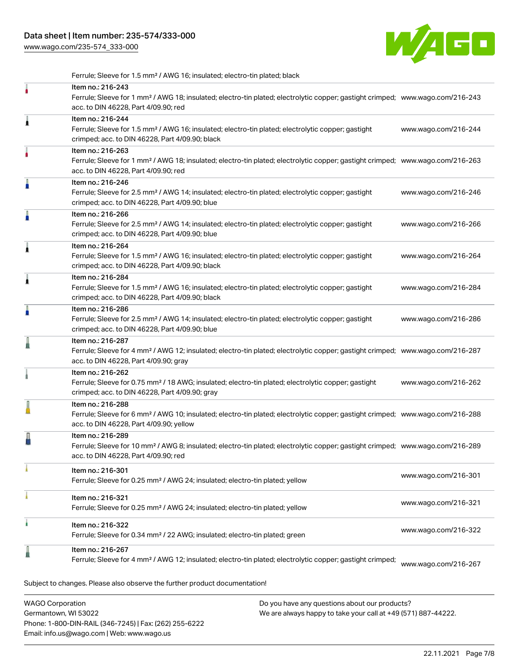[www.wago.com/235-574\\_333-000](http://www.wago.com/235-574_333-000)



Ferrule; Sleeve for 1.5 mm² / AWG 16; insulated; electro-tin plated; black

|   | Item no.: 216-243<br>Ferrule; Sleeve for 1 mm <sup>2</sup> / AWG 18; insulated; electro-tin plated; electrolytic copper; gastight crimped; www.wago.com/216-243<br>acc. to DIN 46228, Part 4/09.90; red    |                      |
|---|------------------------------------------------------------------------------------------------------------------------------------------------------------------------------------------------------------|----------------------|
| Â | Item no.: 216-244<br>Ferrule; Sleeve for 1.5 mm <sup>2</sup> / AWG 16; insulated; electro-tin plated; electrolytic copper; gastight<br>crimped; acc. to DIN 46228, Part 4/09.90; black                     | www.wago.com/216-244 |
|   | Item no.: 216-263<br>Ferrule; Sleeve for 1 mm <sup>2</sup> / AWG 18; insulated; electro-tin plated; electrolytic copper; gastight crimped; www.wago.com/216-263<br>acc. to DIN 46228, Part 4/09.90; red    |                      |
|   | Item no.: 216-246<br>Ferrule; Sleeve for 2.5 mm <sup>2</sup> / AWG 14; insulated; electro-tin plated; electrolytic copper; gastight<br>crimped; acc. to DIN 46228, Part 4/09.90; blue                      | www.wago.com/216-246 |
|   | Item no.: 216-266<br>Ferrule; Sleeve for 2.5 mm <sup>2</sup> / AWG 14; insulated; electro-tin plated; electrolytic copper; gastight<br>crimped; acc. to DIN 46228, Part 4/09.90; blue                      | www.wago.com/216-266 |
| 1 | Item no.: 216-264<br>Ferrule; Sleeve for 1.5 mm <sup>2</sup> / AWG 16; insulated; electro-tin plated; electrolytic copper; gastight<br>crimped; acc. to DIN 46228, Part 4/09.90; black                     | www.wago.com/216-264 |
| ۸ | Item no.: 216-284<br>Ferrule; Sleeve for 1.5 mm <sup>2</sup> / AWG 16; insulated; electro-tin plated; electrolytic copper; gastight<br>crimped; acc. to DIN 46228, Part 4/09.90; black                     | www.wago.com/216-284 |
| A | Item no.: 216-286<br>Ferrule; Sleeve for 2.5 mm <sup>2</sup> / AWG 14; insulated; electro-tin plated; electrolytic copper; gastight<br>crimped; acc. to DIN 46228, Part 4/09.90; blue                      | www.wago.com/216-286 |
|   | Item no.: 216-287<br>Ferrule; Sleeve for 4 mm <sup>2</sup> / AWG 12; insulated; electro-tin plated; electrolytic copper; gastight crimped; www.wago.com/216-287<br>acc. to DIN 46228, Part 4/09.90; gray   |                      |
|   | Item no.: 216-262<br>Ferrule; Sleeve for 0.75 mm <sup>2</sup> / 18 AWG; insulated; electro-tin plated; electrolytic copper; gastight<br>crimped; acc. to DIN 46228, Part 4/09.90; gray                     | www.wago.com/216-262 |
|   | Item no.: 216-288<br>Ferrule; Sleeve for 6 mm <sup>2</sup> / AWG 10; insulated; electro-tin plated; electrolytic copper; gastight crimped; www.wago.com/216-288<br>acc. to DIN 46228, Part 4/09.90; yellow |                      |
|   | Item no.: 216-289<br>Ferrule; Sleeve for 10 mm <sup>2</sup> / AWG 8; insulated; electro-tin plated; electrolytic copper; gastight crimped; www.wago.com/216-289<br>acc. to DIN 46228, Part 4/09.90; red    |                      |
|   | Item no.: 216-301<br>Ferrule; Sleeve for 0.25 mm <sup>2</sup> / AWG 24; insulated; electro-tin plated; yellow                                                                                              | www.wago.com/216-301 |
|   | Item no.: 216-321<br>Ferrule; Sleeve for 0.25 mm <sup>2</sup> / AWG 24; insulated; electro-tin plated; yellow                                                                                              | www.wago.com/216-321 |
| ì | Item no.: 216-322<br>Ferrule; Sleeve for 0.34 mm <sup>2</sup> / 22 AWG; insulated; electro-tin plated; green                                                                                               | www.wago.com/216-322 |
|   | Item no.: 216-267<br>Ferrule; Sleeve for 4 mm <sup>2</sup> / AWG 12; insulated; electro-tin plated; electrolytic copper; gastight crimped;                                                                 | www.wago.com/216-267 |
|   | Subject to changes. Please also observe the further product documentation!                                                                                                                                 |                      |

WAGO Corporation Germantown, WI 53022 Phone: 1-800-DIN-RAIL (346-7245) | Fax: (262) 255-6222 Email: info.us@wago.com | Web: www.wago.us